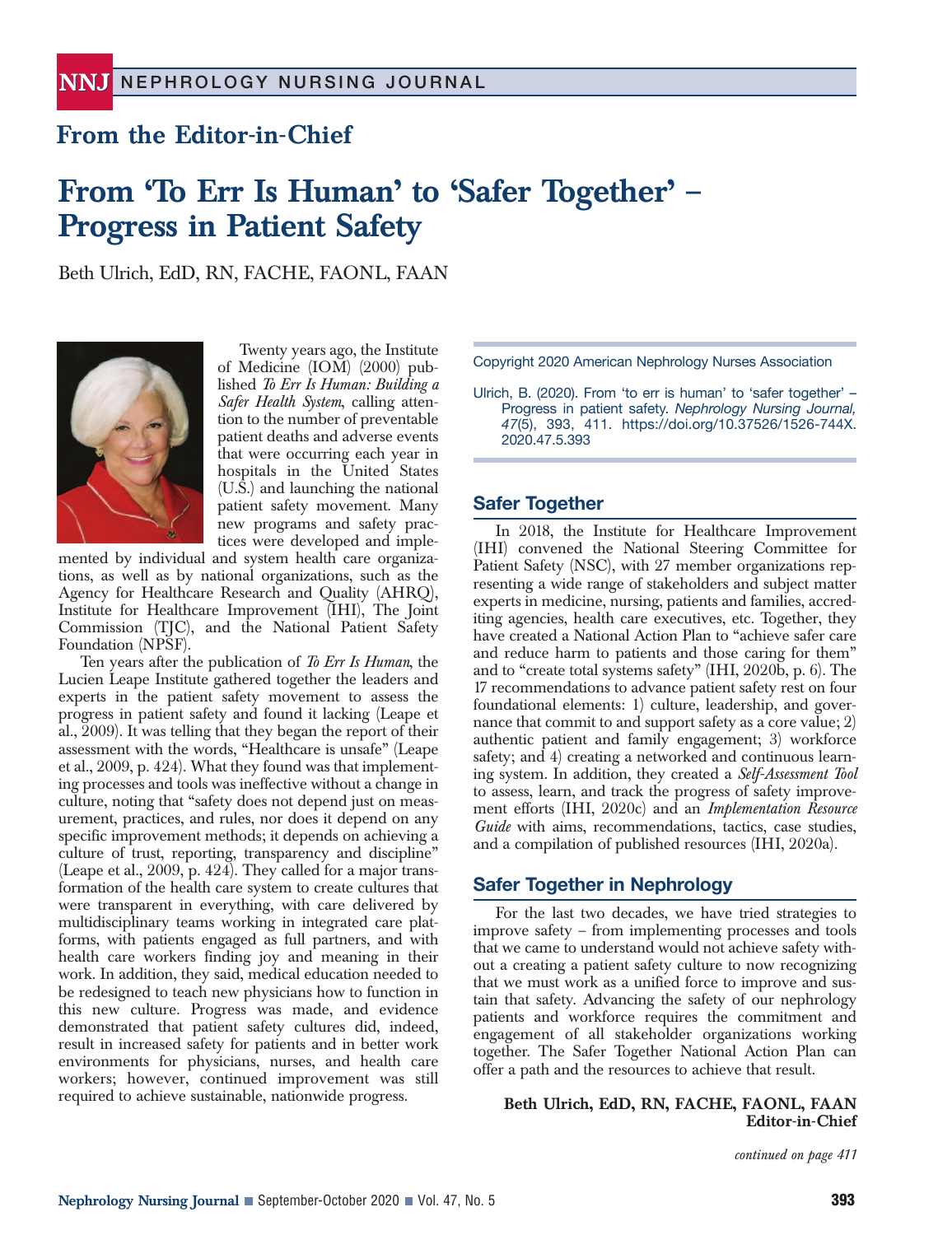## **From the Editor-in-Chief**

# **From 'To Err Is Human' to 'Safer Together' – Progress in Patient Safety**

Beth Ulrich, EdD, RN, FACHE, FAONL, FAAN



Twenty years ago, the Institute of Medicine (IOM) (2000) published *To Err Is Human: Building a Safer Health System*, calling attention to the number of preventable patient deaths and adverse events that were occurring each year in hospitals in the United States (U.S.) and launching the national patient safety movement. Many new programs and safety practices were developed and imple-

mented by individual and system health care organizations, as well as by national organizations, such as the Agency for Healthcare Research and Quality (AHRQ), Institute for Healthcare Improvement (IHI), The Joint Commission (TJC), and the National Patient Safety Foundation (NPSF).

Ten years after the publication of *To Err Is Human*, the Lucien Leape Institute gathered together the leaders and experts in the patient safety movement to assess the progress in patient safety and found it lacking (Leape et al., 2009). It was telling that they began the report of their assessment with the words, "Healthcare is unsafe" (Leape et al., 2009, p. 424). What they found was that implementing processes and tools was ineffective without a change in culture, noting that "safety does not depend just on measurement, practices, and rules, nor does it depend on any specific improvement methods; it depends on achieving a culture of trust, reporting, transparency and discipline" (Leape et al.,  $2009$ , p.  $424$ ). They called for a major transformation of the health care system to create cultures that were transparent in everything, with care delivered by multidisciplinary teams working in integrated care platforms, with patients engaged as full partners, and with health care workers finding joy and meaning in their work. In addition, they said, medical education needed to be redesigned to teach new physicians how to function in this new culture. Progress was made, and evidence demonstrated that patient safety cultures did, indeed, result in increased safety for patients and in better work environments for physicians, nurses, and health care workers; however, continued improvement was still required to achieve sustainable, nationwide progress.

Copyright 2020 American Nephrology Nurses Association

Ulrich, B. (2020). From 'to err is human' to 'safer together' – Progress in patient safety. *Nephrology Nursing Journal, 47*(5), 393, 411. https://doi.org/10.37526/1526-744X. 2020.47.5.393

### **Safer Together**

In 2018, the Institute for Healthcare Improvement (IHI) convened the National Steering Committee for Patient Safety (NSC), with 27 member organizations representing a wide range of stakeholders and subject matter experts in medicine, nursing, patients and families, accrediting agencies, health care executives, etc. Together, they have created a National Action Plan to "achieve safer care and reduce harm to patients and those caring for them" and to "create total systems safety" (IHI, 2020b, p. 6). The 17 recommendations to advance patient safety rest on four foundational elements: 1) culture, leadership, and governance that commit to and support safety as a core value; 2) authentic patient and family engagement; 3) workforce safety; and 4) creating a networked and continuous learning system. In addition, they created a *Self-Assessment Tool* to assess, learn, and track the progress of safety improvement efforts (IHI, 2020c) and an *Implementation Resource Guide* with aims, recommendations, tactics, case studies, and a compilation of published resources (IHI, 2020a).

#### **Safer Together in Nephrology**

For the last two decades, we have tried strategies to improve safety – from implementing processes and tools that we came to understand would not achieve safety without a creating a patient safety culture to now recognizing that we must work as a unified force to improve and sustain that safety. Advancing the safety of our nephrology patients and workforce requires the commitment and engagement of all stakeholder organizations working together. The Safer Together National Action Plan can offer a path and the resources to achieve that result.

**Beth Ulrich, EdD, RN, FACHE, FAONL, FAAN Editor-in-Chief**

*continued on page 411*